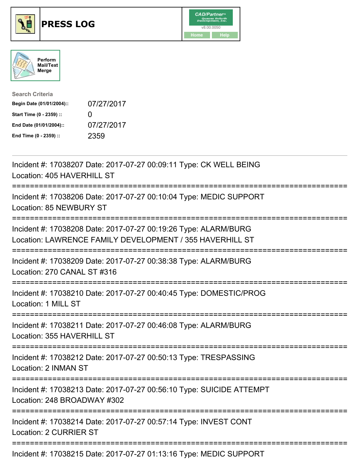





| <b>Search Criteria</b>    |              |
|---------------------------|--------------|
| Begin Date (01/01/2004):: | 07/27/2017   |
| Start Time (0 - 2359) ::  | $\mathbf{I}$ |
| End Date (01/01/2004)::   | 07/27/2017   |
| End Time (0 - 2359) ::    | 2359         |

| Incident #: 17038207 Date: 2017-07-27 00:09:11 Type: CK WELL BEING<br>Location: 405 HAVERHILL ST                               |
|--------------------------------------------------------------------------------------------------------------------------------|
| Incident #: 17038206 Date: 2017-07-27 00:10:04 Type: MEDIC SUPPORT<br>Location: 85 NEWBURY ST                                  |
| Incident #: 17038208 Date: 2017-07-27 00:19:26 Type: ALARM/BURG<br>Location: LAWRENCE FAMILY DEVELOPMENT / 355 HAVERHILL ST    |
| Incident #: 17038209 Date: 2017-07-27 00:38:38 Type: ALARM/BURG<br>Location: 270 CANAL ST #316                                 |
| Incident #: 17038210 Date: 2017-07-27 00:40:45 Type: DOMESTIC/PROG<br>Location: 1 MILL ST                                      |
| Incident #: 17038211 Date: 2017-07-27 00:46:08 Type: ALARM/BURG<br>Location: 355 HAVERHILL ST<br>-------------                 |
| Incident #: 17038212 Date: 2017-07-27 00:50:13 Type: TRESPASSING<br>Location: 2 INMAN ST<br>:================================= |
| Incident #: 17038213 Date: 2017-07-27 00:56:10 Type: SUICIDE ATTEMPT<br>Location: 248 BROADWAY #302<br>==============          |
| Incident #: 17038214 Date: 2017-07-27 00:57:14 Type: INVEST CONT<br>Location: 2 CURRIER ST                                     |
| Incident #: 17038215 Date: 2017-07-27 01:13:16 Type: MEDIC SUPPORT                                                             |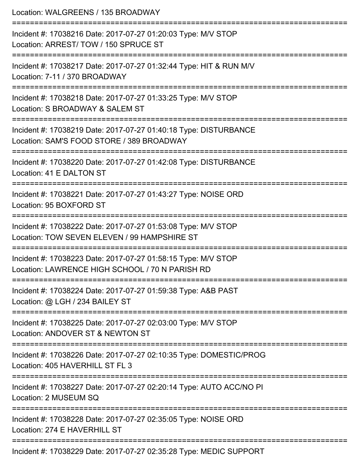| Location: WALGREENS / 135 BROADWAY                                                                                            |
|-------------------------------------------------------------------------------------------------------------------------------|
| Incident #: 17038216 Date: 2017-07-27 01:20:03 Type: M/V STOP<br>Location: ARREST/TOW / 150 SPRUCE ST<br>-------------------- |
| Incident #: 17038217 Date: 2017-07-27 01:32:44 Type: HIT & RUN M/V<br>Location: 7-11 / 370 BROADWAY                           |
| Incident #: 17038218 Date: 2017-07-27 01:33:25 Type: M/V STOP<br>Location: S BROADWAY & SALEM ST                              |
| Incident #: 17038219 Date: 2017-07-27 01:40:18 Type: DISTURBANCE<br>Location: SAM'S FOOD STORE / 389 BROADWAY                 |
| Incident #: 17038220 Date: 2017-07-27 01:42:08 Type: DISTURBANCE<br>Location: 41 E DALTON ST                                  |
| Incident #: 17038221 Date: 2017-07-27 01:43:27 Type: NOISE ORD<br>Location: 95 BOXFORD ST                                     |
| Incident #: 17038222 Date: 2017-07-27 01:53:08 Type: M/V STOP<br>Location: TOW SEVEN ELEVEN / 99 HAMPSHIRE ST                 |
| Incident #: 17038223 Date: 2017-07-27 01:58:15 Type: M/V STOP<br>Location: LAWRENCE HIGH SCHOOL / 70 N PARISH RD              |
| Incident #: 17038224 Date: 2017-07-27 01:59:38 Type: A&B PAST<br>Location: @ LGH / 234 BAILEY ST                              |
| Incident #: 17038225 Date: 2017-07-27 02:03:00 Type: M/V STOP<br>Location: ANDOVER ST & NEWTON ST                             |
| Incident #: 17038226 Date: 2017-07-27 02:10:35 Type: DOMESTIC/PROG<br>Location: 405 HAVERHILL ST FL 3                         |
| Incident #: 17038227 Date: 2017-07-27 02:20:14 Type: AUTO ACC/NO PI<br>Location: 2 MUSEUM SQ                                  |
| Incident #: 17038228 Date: 2017-07-27 02:35:05 Type: NOISE ORD<br>Location: 274 E HAVERHILL ST                                |
| Incident #: 17038229 Date: 2017-07-27 02:35:28 Type: MEDIC SUPPORT                                                            |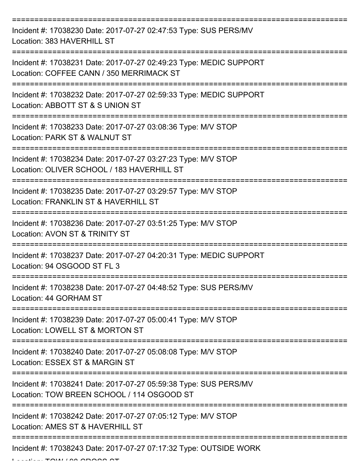| Incident #: 17038230 Date: 2017-07-27 02:47:53 Type: SUS PERS/MV<br>Location: 383 HAVERHILL ST                                          |
|-----------------------------------------------------------------------------------------------------------------------------------------|
| Incident #: 17038231 Date: 2017-07-27 02:49:23 Type: MEDIC SUPPORT<br>Location: COFFEE CANN / 350 MERRIMACK ST                          |
| Incident #: 17038232 Date: 2017-07-27 02:59:33 Type: MEDIC SUPPORT<br>Location: ABBOTT ST & S UNION ST                                  |
| Incident #: 17038233 Date: 2017-07-27 03:08:36 Type: M/V STOP<br>Location: PARK ST & WALNUT ST                                          |
| Incident #: 17038234 Date: 2017-07-27 03:27:23 Type: M/V STOP<br>Location: OLIVER SCHOOL / 183 HAVERHILL ST<br>======================== |
| Incident #: 17038235 Date: 2017-07-27 03:29:57 Type: M/V STOP<br>Location: FRANKLIN ST & HAVERHILL ST                                   |
| Incident #: 17038236 Date: 2017-07-27 03:51:25 Type: M/V STOP<br>Location: AVON ST & TRINITY ST                                         |
| Incident #: 17038237 Date: 2017-07-27 04:20:31 Type: MEDIC SUPPORT<br>Location: 94 OSGOOD ST FL 3                                       |
| Incident #: 17038238 Date: 2017-07-27 04:48:52 Type: SUS PERS/MV<br>Location: 44 GORHAM ST                                              |
| Incident #: 17038239 Date: 2017-07-27 05:00:41 Type: M/V STOP<br>Location: LOWELL ST & MORTON ST                                        |
| Incident #: 17038240 Date: 2017-07-27 05:08:08 Type: M/V STOP<br>Location: ESSEX ST & MARGIN ST                                         |
| Incident #: 17038241 Date: 2017-07-27 05:59:38 Type: SUS PERS/MV<br>Location: TOW BREEN SCHOOL / 114 OSGOOD ST                          |
| Incident #: 17038242 Date: 2017-07-27 07:05:12 Type: M/V STOP<br>Location: AMES ST & HAVERHILL ST                                       |
| Incident #: 17038243 Date: 2017-07-27 07:17:32 Type: OUTSIDE WORK                                                                       |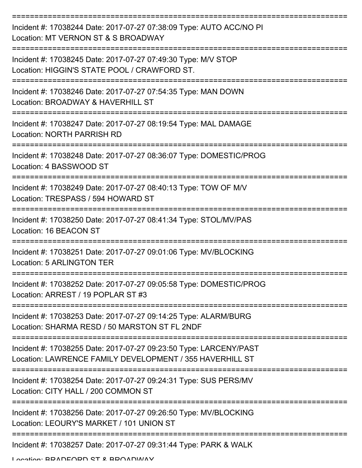| Incident #: 17038244 Date: 2017-07-27 07:38:09 Type: AUTO ACC/NO PI<br>Location: MT VERNON ST & S BROADWAY                    |
|-------------------------------------------------------------------------------------------------------------------------------|
| Incident #: 17038245 Date: 2017-07-27 07:49:30 Type: M/V STOP<br>Location: HIGGIN'S STATE POOL / CRAWFORD ST.                 |
| Incident #: 17038246 Date: 2017-07-27 07:54:35 Type: MAN DOWN<br>Location: BROADWAY & HAVERHILL ST                            |
| Incident #: 17038247 Date: 2017-07-27 08:19:54 Type: MAL DAMAGE<br><b>Location: NORTH PARRISH RD</b>                          |
| Incident #: 17038248 Date: 2017-07-27 08:36:07 Type: DOMESTIC/PROG<br>Location: 4 BASSWOOD ST                                 |
| Incident #: 17038249 Date: 2017-07-27 08:40:13 Type: TOW OF M/V<br>Location: TRESPASS / 594 HOWARD ST                         |
| Incident #: 17038250 Date: 2017-07-27 08:41:34 Type: STOL/MV/PAS<br>Location: 16 BEACON ST                                    |
| Incident #: 17038251 Date: 2017-07-27 09:01:06 Type: MV/BLOCKING<br>Location: 5 ARLINGTON TER                                 |
| Incident #: 17038252 Date: 2017-07-27 09:05:58 Type: DOMESTIC/PROG<br>Location: ARREST / 19 POPLAR ST #3                      |
| Incident #: 17038253 Date: 2017-07-27 09:14:25 Type: ALARM/BURG<br>Location: SHARMA RESD / 50 MARSTON ST FL 2NDF              |
| Incident #: 17038255 Date: 2017-07-27 09:23:50 Type: LARCENY/PAST<br>Location: LAWRENCE FAMILY DEVELOPMENT / 355 HAVERHILL ST |
| Incident #: 17038254 Date: 2017-07-27 09:24:31 Type: SUS PERS/MV<br>Location: CITY HALL / 200 COMMON ST                       |
| Incident #: 17038256 Date: 2017-07-27 09:26:50 Type: MV/BLOCKING<br>Location: LEOURY'S MARKET / 101 UNION ST                  |
| Incident #: 17038257 Date: 2017-07-27 09:31:44 Type: PARK & WALK                                                              |

Location: BRADFORD ST & BROADWAY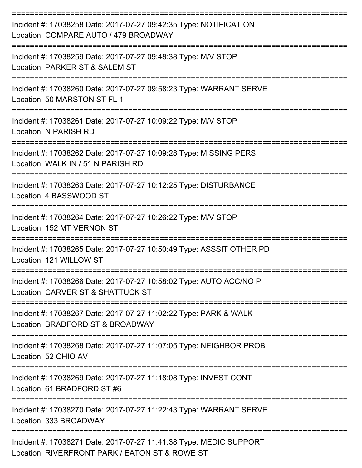| Incident #: 17038258 Date: 2017-07-27 09:42:35 Type: NOTIFICATION<br>Location: COMPARE AUTO / 479 BROADWAY           |
|----------------------------------------------------------------------------------------------------------------------|
| Incident #: 17038259 Date: 2017-07-27 09:48:38 Type: M/V STOP<br>Location: PARKER ST & SALEM ST                      |
| Incident #: 17038260 Date: 2017-07-27 09:58:23 Type: WARRANT SERVE<br>Location: 50 MARSTON ST FL 1                   |
| Incident #: 17038261 Date: 2017-07-27 10:09:22 Type: M/V STOP<br>Location: N PARISH RD                               |
| Incident #: 17038262 Date: 2017-07-27 10:09:28 Type: MISSING PERS<br>Location: WALK IN / 51 N PARISH RD              |
| Incident #: 17038263 Date: 2017-07-27 10:12:25 Type: DISTURBANCE<br>Location: 4 BASSWOOD ST                          |
| Incident #: 17038264 Date: 2017-07-27 10:26:22 Type: M/V STOP<br>Location: 152 MT VERNON ST                          |
| Incident #: 17038265 Date: 2017-07-27 10:50:49 Type: ASSSIT OTHER PD<br>Location: 121 WILLOW ST                      |
| Incident #: 17038266 Date: 2017-07-27 10:58:02 Type: AUTO ACC/NO PI<br>Location: CARVER ST & SHATTUCK ST             |
| Incident #: 17038267 Date: 2017-07-27 11:02:22 Type: PARK & WALK<br>Location: BRADFORD ST & BROADWAY                 |
| Incident #: 17038268 Date: 2017-07-27 11:07:05 Type: NEIGHBOR PROB<br>Location: 52 OHIO AV                           |
| Incident #: 17038269 Date: 2017-07-27 11:18:08 Type: INVEST CONT<br>Location: 61 BRADFORD ST #6                      |
| Incident #: 17038270 Date: 2017-07-27 11:22:43 Type: WARRANT SERVE<br>Location: 333 BROADWAY                         |
| Incident #: 17038271 Date: 2017-07-27 11:41:38 Type: MEDIC SUPPORT<br>Location: RIVERFRONT PARK / EATON ST & ROWE ST |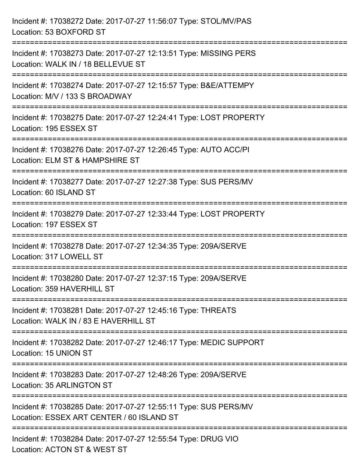| Incident #: 17038272 Date: 2017-07-27 11:56:07 Type: STOL/MV/PAS<br>Location: 53 BOXFORD ST                                                 |
|---------------------------------------------------------------------------------------------------------------------------------------------|
| Incident #: 17038273 Date: 2017-07-27 12:13:51 Type: MISSING PERS<br>Location: WALK IN / 18 BELLEVUE ST                                     |
| Incident #: 17038274 Date: 2017-07-27 12:15:57 Type: B&E/ATTEMPY<br>Location: M/V / 133 S BROADWAY<br>;==================================== |
| Incident #: 17038275 Date: 2017-07-27 12:24:41 Type: LOST PROPERTY<br>Location: 195 ESSEX ST                                                |
| Incident #: 17038276 Date: 2017-07-27 12:26:45 Type: AUTO ACC/PI<br>Location: ELM ST & HAMPSHIRE ST                                         |
| Incident #: 17038277 Date: 2017-07-27 12:27:38 Type: SUS PERS/MV<br>Location: 60 ISLAND ST                                                  |
| Incident #: 17038279 Date: 2017-07-27 12:33:44 Type: LOST PROPERTY<br>Location: 197 ESSEX ST                                                |
| Incident #: 17038278 Date: 2017-07-27 12:34:35 Type: 209A/SERVE<br>Location: 317 LOWELL ST                                                  |
| Incident #: 17038280 Date: 2017-07-27 12:37:15 Type: 209A/SERVE<br>Location: 359 HAVERHILL ST                                               |
| Incident #: 17038281 Date: 2017-07-27 12:45:16 Type: THREATS<br>Location: WALK IN / 83 E HAVERHILL ST                                       |
| Incident #: 17038282 Date: 2017-07-27 12:46:17 Type: MEDIC SUPPORT<br>Location: 15 UNION ST                                                 |
| Incident #: 17038283 Date: 2017-07-27 12:48:26 Type: 209A/SERVE<br>Location: 35 ARLINGTON ST                                                |
| Incident #: 17038285 Date: 2017-07-27 12:55:11 Type: SUS PERS/MV<br>Location: ESSEX ART CENTER / 60 ISLAND ST<br>------------------------   |
| Incident #: 17038284 Date: 2017-07-27 12:55:54 Type: DRUG VIO<br>Location: ACTON ST & WEST ST                                               |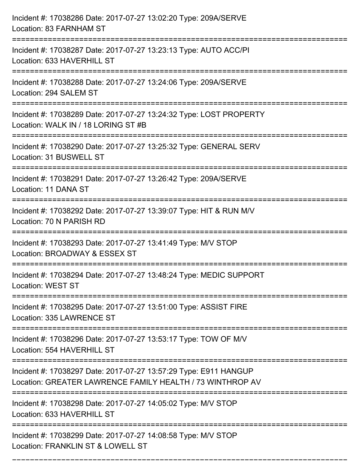| Incident #: 17038286 Date: 2017-07-27 13:02:20 Type: 209A/SERVE<br>Location: 83 FARNHAM ST                                          |
|-------------------------------------------------------------------------------------------------------------------------------------|
| Incident #: 17038287 Date: 2017-07-27 13:23:13 Type: AUTO ACC/PI<br>Location: 633 HAVERHILL ST                                      |
| Incident #: 17038288 Date: 2017-07-27 13:24:06 Type: 209A/SERVE<br>Location: 294 SALEM ST                                           |
| Incident #: 17038289 Date: 2017-07-27 13:24:32 Type: LOST PROPERTY<br>Location: WALK IN / 18 LORING ST #B                           |
| Incident #: 17038290 Date: 2017-07-27 13:25:32 Type: GENERAL SERV<br>Location: 31 BUSWELL ST                                        |
| Incident #: 17038291 Date: 2017-07-27 13:26:42 Type: 209A/SERVE<br>Location: 11 DANA ST                                             |
| Incident #: 17038292 Date: 2017-07-27 13:39:07 Type: HIT & RUN M/V<br>Location: 70 N PARISH RD                                      |
| Incident #: 17038293 Date: 2017-07-27 13:41:49 Type: M/V STOP<br>Location: BROADWAY & ESSEX ST                                      |
| Incident #: 17038294 Date: 2017-07-27 13:48:24 Type: MEDIC SUPPORT<br>Location: WEST ST                                             |
| Incident #: 17038295 Date: 2017-07-27 13:51:00 Type: ASSIST FIRE<br>Location: 335 LAWRENCE ST<br>================================== |
| Incident #: 17038296 Date: 2017-07-27 13:53:17 Type: TOW OF M/V<br>Location: 554 HAVERHILL ST                                       |
| Incident #: 17038297 Date: 2017-07-27 13:57:29 Type: E911 HANGUP<br>Location: GREATER LAWRENCE FAMILY HEALTH / 73 WINTHROP AV       |
| Incident #: 17038298 Date: 2017-07-27 14:05:02 Type: M/V STOP<br>Location: 633 HAVERHILL ST                                         |
| Incident #: 17038299 Date: 2017-07-27 14:08:58 Type: M/V STOP<br>Location: FRANKLIN ST & LOWELL ST                                  |

===========================================================================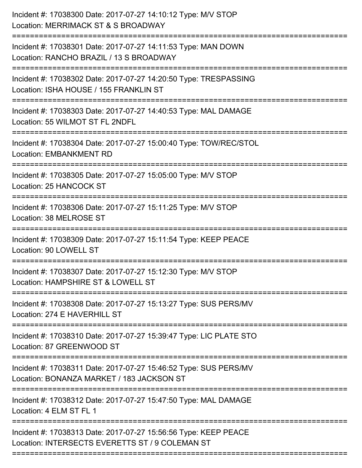| Incident #: 17038302 Date: 2017-07-27 14:20:50 Type: TRESPASSING<br>:=========================<br><b>Location: EMBANKMENT RD</b><br>Location: 25 HANCOCK ST<br>Incident #: 17038306 Date: 2017-07-27 15:11:25 Type: M/V STOP<br>Location: 38 MELROSE ST<br>Location: 90 LOWELL ST<br>Incident #: 17038307 Date: 2017-07-27 15:12:30 Type: M/V STOP<br>Location: 87 GREENWOOD ST<br>Incident #: 17038311 Date: 2017-07-27 15:46:52 Type: SUS PERS/MV<br>Incident #: 17038312 Date: 2017-07-27 15:47:50 Type: MAL DAMAGE<br>Location: 4 ELM ST FL 1<br>Location: INTERSECTS EVERETTS ST / 9 COLEMAN ST | Incident #: 17038300 Date: 2017-07-27 14:10:12 Type: M/V STOP<br>Location: MERRIMACK ST & S BROADWAY<br>.----------------------- |
|------------------------------------------------------------------------------------------------------------------------------------------------------------------------------------------------------------------------------------------------------------------------------------------------------------------------------------------------------------------------------------------------------------------------------------------------------------------------------------------------------------------------------------------------------------------------------------------------------|----------------------------------------------------------------------------------------------------------------------------------|
|                                                                                                                                                                                                                                                                                                                                                                                                                                                                                                                                                                                                      | Incident #: 17038301 Date: 2017-07-27 14:11:53 Type: MAN DOWN<br>Location: RANCHO BRAZIL / 13 S BROADWAY                         |
|                                                                                                                                                                                                                                                                                                                                                                                                                                                                                                                                                                                                      | Location: ISHA HOUSE / 155 FRANKLIN ST                                                                                           |
|                                                                                                                                                                                                                                                                                                                                                                                                                                                                                                                                                                                                      | Incident #: 17038303 Date: 2017-07-27 14:40:53 Type: MAL DAMAGE<br>Location: 55 WILMOT ST FL 2NDFL                               |
|                                                                                                                                                                                                                                                                                                                                                                                                                                                                                                                                                                                                      | Incident #: 17038304 Date: 2017-07-27 15:00:40 Type: TOW/REC/STOL                                                                |
|                                                                                                                                                                                                                                                                                                                                                                                                                                                                                                                                                                                                      | Incident #: 17038305 Date: 2017-07-27 15:05:00 Type: M/V STOP                                                                    |
|                                                                                                                                                                                                                                                                                                                                                                                                                                                                                                                                                                                                      |                                                                                                                                  |
|                                                                                                                                                                                                                                                                                                                                                                                                                                                                                                                                                                                                      | Incident #: 17038309 Date: 2017-07-27 15:11:54 Type: KEEP PEACE                                                                  |
|                                                                                                                                                                                                                                                                                                                                                                                                                                                                                                                                                                                                      | Location: HAMPSHIRE ST & LOWELL ST                                                                                               |
|                                                                                                                                                                                                                                                                                                                                                                                                                                                                                                                                                                                                      | Incident #: 17038308 Date: 2017-07-27 15:13:27 Type: SUS PERS/MV<br>Location: 274 E HAVERHILL ST                                 |
|                                                                                                                                                                                                                                                                                                                                                                                                                                                                                                                                                                                                      | Incident #: 17038310 Date: 2017-07-27 15:39:47 Type: LIC PLATE STO                                                               |
|                                                                                                                                                                                                                                                                                                                                                                                                                                                                                                                                                                                                      | Location: BONANZA MARKET / 183 JACKSON ST                                                                                        |
|                                                                                                                                                                                                                                                                                                                                                                                                                                                                                                                                                                                                      |                                                                                                                                  |
|                                                                                                                                                                                                                                                                                                                                                                                                                                                                                                                                                                                                      | Incident #: 17038313 Date: 2017-07-27 15:56:56 Type: KEEP PEACE                                                                  |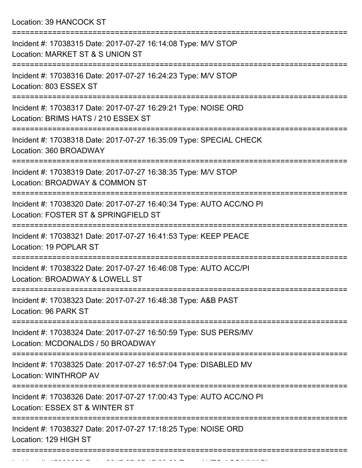Location: 39 HANCOCK ST

| Incident #: 17038315 Date: 2017-07-27 16:14:08 Type: M/V STOP<br>Location: MARKET ST & S UNION ST           |
|-------------------------------------------------------------------------------------------------------------|
| Incident #: 17038316 Date: 2017-07-27 16:24:23 Type: M/V STOP<br>Location: 803 ESSEX ST                     |
| Incident #: 17038317 Date: 2017-07-27 16:29:21 Type: NOISE ORD<br>Location: BRIMS HATS / 210 ESSEX ST       |
| Incident #: 17038318 Date: 2017-07-27 16:35:09 Type: SPECIAL CHECK<br>Location: 360 BROADWAY                |
| Incident #: 17038319 Date: 2017-07-27 16:38:35 Type: M/V STOP<br>Location: BROADWAY & COMMON ST             |
| Incident #: 17038320 Date: 2017-07-27 16:40:34 Type: AUTO ACC/NO PI<br>Location: FOSTER ST & SPRINGFIELD ST |
| Incident #: 17038321 Date: 2017-07-27 16:41:53 Type: KEEP PEACE<br>Location: 19 POPLAR ST                   |
| Incident #: 17038322 Date: 2017-07-27 16:46:08 Type: AUTO ACC/PI<br>Location: BROADWAY & LOWELL ST          |
| Incident #: 17038323 Date: 2017-07-27 16:48:38 Type: A&B PAST<br>Location: 96 PARK ST                       |
| Incident #: 17038324 Date: 2017-07-27 16:50:59 Type: SUS PERS/MV<br>Location: MCDONALDS / 50 BROADWAY       |
| Incident #: 17038325 Date: 2017-07-27 16:57:04 Type: DISABLED MV<br>Location: WINTHROP AV                   |
| Incident #: 17038326 Date: 2017-07-27 17:00:43 Type: AUTO ACC/NO PI<br>Location: ESSEX ST & WINTER ST       |
| Incident #: 17038327 Date: 2017-07-27 17:18:25 Type: NOISE ORD<br>Location: 129 HIGH ST                     |
|                                                                                                             |

Incident #: 17038328 Date: 2017 07 27 17:20:23 Type: AUTO ACC/UNK PI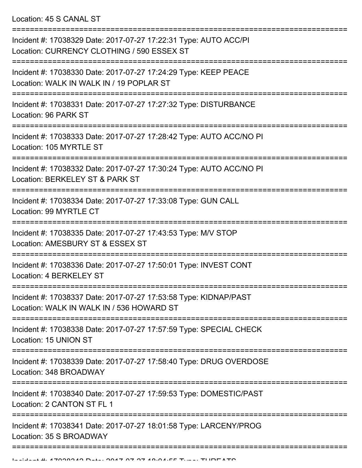Location: 45 S CANAL ST

| Incident #: 17038329 Date: 2017-07-27 17:22:31 Type: AUTO ACC/PI<br>Location: CURRENCY CLOTHING / 590 ESSEX ST |
|----------------------------------------------------------------------------------------------------------------|
| Incident #: 17038330 Date: 2017-07-27 17:24:29 Type: KEEP PEACE<br>Location: WALK IN WALK IN / 19 POPLAR ST    |
| Incident #: 17038331 Date: 2017-07-27 17:27:32 Type: DISTURBANCE<br>Location: 96 PARK ST                       |
| Incident #: 17038333 Date: 2017-07-27 17:28:42 Type: AUTO ACC/NO PI<br>Location: 105 MYRTLE ST                 |
| Incident #: 17038332 Date: 2017-07-27 17:30:24 Type: AUTO ACC/NO PI<br>Location: BERKELEY ST & PARK ST         |
| Incident #: 17038334 Date: 2017-07-27 17:33:08 Type: GUN CALL<br>Location: 99 MYRTLE CT                        |
| Incident #: 17038335 Date: 2017-07-27 17:43:53 Type: M/V STOP<br>Location: AMESBURY ST & ESSEX ST              |
| Incident #: 17038336 Date: 2017-07-27 17:50:01 Type: INVEST CONT<br><b>Location: 4 BERKELEY ST</b>             |
| Incident #: 17038337 Date: 2017-07-27 17:53:58 Type: KIDNAP/PAST<br>Location: WALK IN WALK IN / 536 HOWARD ST  |
| Incident #: 17038338 Date: 2017-07-27 17:57:59 Type: SPECIAL CHECK<br>Location: 15 UNION ST                    |
| Incident #: 17038339 Date: 2017-07-27 17:58:40 Type: DRUG OVERDOSE<br>Location: 348 BROADWAY                   |
| Incident #: 17038340 Date: 2017-07-27 17:59:53 Type: DOMESTIC/PAST<br>Location: 2 CANTON ST FL 1               |
| Incident #: 17038341 Date: 2017-07-27 18:01:58 Type: LARCENY/PROG<br>Location: 35 S BROADWAY                   |
|                                                                                                                |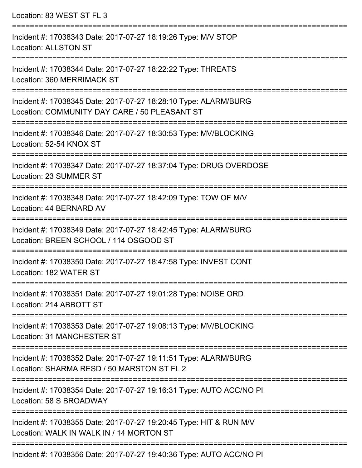Location: 83 WEST ST FL 3 =========================================================================== Incident #: 17038343 Date: 2017-07-27 18:19:26 Type: M/V STOP Location: ALLSTON ST =========================================================================== Incident #: 17038344 Date: 2017-07-27 18:22:22 Type: THREATS Location: 360 MERRIMACK ST =========================================================================== Incident #: 17038345 Date: 2017-07-27 18:28:10 Type: ALARM/BURG Location: COMMUNITY DAY CARE / 50 PLEASANT ST =========================================================================== Incident #: 17038346 Date: 2017-07-27 18:30:53 Type: MV/BLOCKING Location: 52-54 KNOX ST =========================================================================== Incident #: 17038347 Date: 2017-07-27 18:37:04 Type: DRUG OVERDOSE Location: 23 SUMMER ST =========================================================================== Incident #: 17038348 Date: 2017-07-27 18:42:09 Type: TOW OF M/V Location: 44 BERNARD AV =========================================================================== Incident #: 17038349 Date: 2017-07-27 18:42:45 Type: ALARM/BURG Location: BREEN SCHOOL / 114 OSGOOD ST =========================================================================== Incident #: 17038350 Date: 2017-07-27 18:47:58 Type: INVEST CONT Location: 182 WATER ST =========================================================================== Incident #: 17038351 Date: 2017-07-27 19:01:28 Type: NOISE ORD Location: 214 ABBOTT ST =========================================================================== Incident #: 17038353 Date: 2017-07-27 19:08:13 Type: MV/BLOCKING Location: 31 MANCHESTER ST =========================================================================== Incident #: 17038352 Date: 2017-07-27 19:11:51 Type: ALARM/BURG Location: SHARMA RESD / 50 MARSTON ST FL 2 =========================================================================== Incident #: 17038354 Date: 2017-07-27 19:16:31 Type: AUTO ACC/NO PI Location: 58 S BROADWAY =========================================================================== Incident #: 17038355 Date: 2017-07-27 19:20:45 Type: HIT & RUN M/V Location: WALK IN WALK IN / 14 MORTON ST ===========================================================================

Incident #: 17038356 Date: 2017-07-27 19:40:36 Type: AUTO ACC/NO PI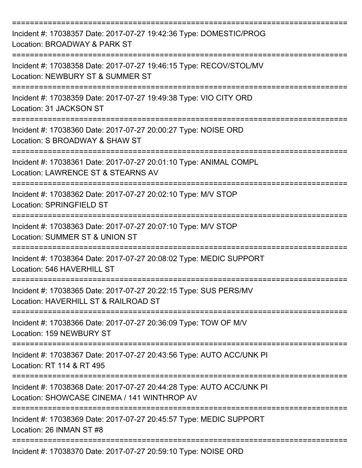| Incident #: 17038357 Date: 2017-07-27 19:42:36 Type: DOMESTIC/PROG<br>Location: BROADWAY & PARK ST                                            |
|-----------------------------------------------------------------------------------------------------------------------------------------------|
| Incident #: 17038358 Date: 2017-07-27 19:46:15 Type: RECOV/STOL/MV<br>Location: NEWBURY ST & SUMMER ST                                        |
| Incident #: 17038359 Date: 2017-07-27 19:49:38 Type: VIO CITY ORD<br>Location: 31 JACKSON ST                                                  |
| Incident #: 17038360 Date: 2017-07-27 20:00:27 Type: NOISE ORD<br>Location: S BROADWAY & SHAW ST                                              |
| Incident #: 17038361 Date: 2017-07-27 20:01:10 Type: ANIMAL COMPL<br>Location: LAWRENCE ST & STEARNS AV                                       |
| Incident #: 17038362 Date: 2017-07-27 20:02:10 Type: M/V STOP<br>Location: SPRINGFIELD ST                                                     |
| Incident #: 17038363 Date: 2017-07-27 20:07:10 Type: M/V STOP<br>Location: SUMMER ST & UNION ST                                               |
| Incident #: 17038364 Date: 2017-07-27 20:08:02 Type: MEDIC SUPPORT<br>Location: 546 HAVERHILL ST                                              |
| ==============<br>Incident #: 17038365 Date: 2017-07-27 20:22:15 Type: SUS PERS/MV<br>Location: HAVERHILL ST & RAILROAD ST                    |
| Incident #: 17038366 Date: 2017-07-27 20:36:09 Type: TOW OF M/V<br>Location: 159 NEWBURY ST                                                   |
| Incident #: 17038367 Date: 2017-07-27 20:43:56 Type: AUTO ACC/UNK PI<br>Location: RT 114 & RT 495                                             |
| ======================<br>Incident #: 17038368 Date: 2017-07-27 20:44:28 Type: AUTO ACC/UNK PI<br>Location: SHOWCASE CINEMA / 141 WINTHROP AV |
| Incident #: 17038369 Date: 2017-07-27 20:45:57 Type: MEDIC SUPPORT<br>Location: 26 INMAN ST #8                                                |
| Incident #: 17038370 Date: 2017-07-27 20:59:10 Type: NOISE ORD                                                                                |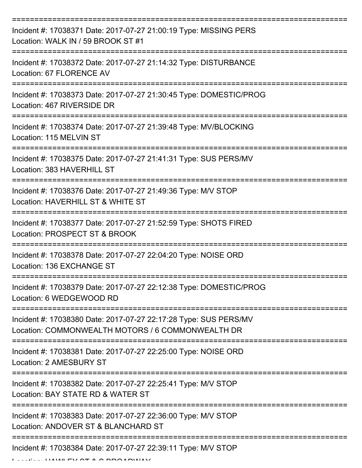| Incident #: 17038371 Date: 2017-07-27 21:00:19 Type: MISSING PERS<br>Location: WALK IN / 59 BROOK ST #1                                 |
|-----------------------------------------------------------------------------------------------------------------------------------------|
| Incident #: 17038372 Date: 2017-07-27 21:14:32 Type: DISTURBANCE<br>Location: 67 FLORENCE AV                                            |
| Incident #: 17038373 Date: 2017-07-27 21:30:45 Type: DOMESTIC/PROG<br>Location: 467 RIVERSIDE DR                                        |
| Incident #: 17038374 Date: 2017-07-27 21:39:48 Type: MV/BLOCKING<br>Location: 115 MELVIN ST                                             |
| Incident #: 17038375 Date: 2017-07-27 21:41:31 Type: SUS PERS/MV<br>Location: 383 HAVERHILL ST                                          |
| Incident #: 17038376 Date: 2017-07-27 21:49:36 Type: M/V STOP<br>Location: HAVERHILL ST & WHITE ST                                      |
| Incident #: 17038377 Date: 2017-07-27 21:52:59 Type: SHOTS FIRED<br>Location: PROSPECT ST & BROOK                                       |
| Incident #: 17038378 Date: 2017-07-27 22:04:20 Type: NOISE ORD<br>Location: 136 EXCHANGE ST                                             |
| Incident #: 17038379 Date: 2017-07-27 22:12:38 Type: DOMESTIC/PROG<br>Location: 6 WEDGEWOOD RD                                          |
| ==============<br>Incident #: 17038380 Date: 2017-07-27 22:17:28 Type: SUS PERS/MV<br>Location: COMMONWEALTH MOTORS / 6 COMMONWEALTH DR |
| Incident #: 17038381 Date: 2017-07-27 22:25:00 Type: NOISE ORD<br>Location: 2 AMESBURY ST                                               |
| Incident #: 17038382 Date: 2017-07-27 22:25:41 Type: M/V STOP<br>Location: BAY STATE RD & WATER ST                                      |
| Incident #: 17038383 Date: 2017-07-27 22:36:00 Type: M/V STOP<br>Location: ANDOVER ST & BLANCHARD ST                                    |
| Incident #: 17038384 Date: 2017-07-27 22:39:11 Type: M/V STOP                                                                           |